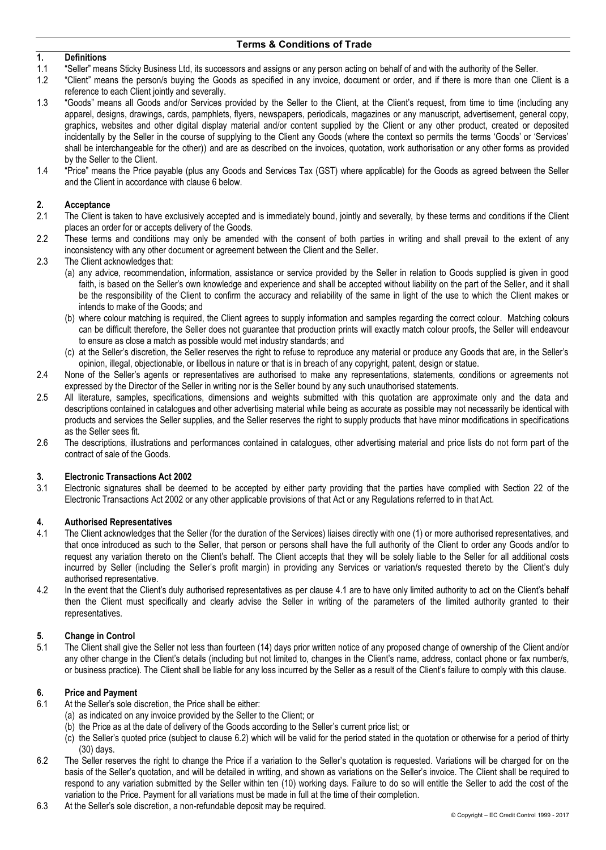## **1. Definitions**

- 1.1 "Seller" means Sticky Business Ltd, its successors and assigns or any person acting on behalf of and with the authority of the Seller.
- 1.2 "Client" means the person/s buying the Goods as specified in any invoice, document or order, and if there is more than one Client is a reference to each Client jointly and severally.
- 1.3 "Goods" means all Goods and/or Services provided by the Seller to the Client, at the Client's request, from time to time (including any apparel, designs, drawings, cards, pamphlets, flyers, newspapers, periodicals, magazines or any manuscript, advertisement, general copy, graphics, websites and other digital display material and/or content supplied by the Client or any other product, created or deposited incidentally by the Seller in the course of supplying to the Client any Goods (where the context so permits the terms 'Goods' or 'Services' shall be interchangeable for the other)) and are as described on the invoices, quotation, work authorisation or any other forms as provided by the Seller to the Client.
- 1.4 "Price" means the Price payable (plus any Goods and Services Tax (GST) where applicable) for the Goods as agreed between the Seller and the Client in accordance with clause 6 below.

### **2. Acceptance**

- 2.1 The Client is taken to have exclusively accepted and is immediately bound, jointly and severally, by these terms and conditions if the Client places an order for or accepts delivery of the Goods.
- 2.2 These terms and conditions may only be amended with the consent of both parties in writing and shall prevail to the extent of any inconsistency with any other document or agreement between the Client and the Seller.
- 2.3 The Client acknowledges that:
	- (a) any advice, recommendation, information, assistance or service provided by the Seller in relation to Goods supplied is given in good faith, is based on the Seller's own knowledge and experience and shall be accepted without liability on the part of the Seller, and it shall be the responsibility of the Client to confirm the accuracy and reliability of the same in light of the use to which the Client makes or intends to make of the Goods; and
	- (b) where colour matching is required, the Client agrees to supply information and samples regarding the correct colour. Matching colours can be difficult therefore, the Seller does not guarantee that production prints will exactly match colour proofs, the Seller will endeavour to ensure as close a match as possible would met industry standards; and
	- (c) at the Seller's discretion, the Seller reserves the right to refuse to reproduce any material or produce any Goods that are, in the Seller's opinion, illegal, objectionable, or libellous in nature or that is in breach of any copyright, patent, design or statue.
- 2.4 None of the Seller's agents or representatives are authorised to make any representations, statements, conditions or agreements not expressed by the Director of the Seller in writing nor is the Seller bound by any such unauthorised statements.
- 2.5 All literature, samples, specifications, dimensions and weights submitted with this quotation are approximate only and the data and descriptions contained in catalogues and other advertising material while being as accurate as possible may not necessarily be identical with products and services the Seller supplies, and the Seller reserves the right to supply products that have minor modifications in specifications as the Seller sees fit.
- 2.6 The descriptions, illustrations and performances contained in catalogues, other advertising material and price lists do not form part of the contract of sale of the Goods.

# **3. Electronic Transactions Act 2002**

Electronic signatures shall be deemed to be accepted by either party providing that the parties have complied with Section 22 of the Electronic Transactions Act 2002 or any other applicable provisions of that Act or any Regulations referred to in that Act.

### **4. Authorised Representatives**

- 4.1 The Client acknowledges that the Seller (for the duration of the Services) liaises directly with one (1) or more authorised representatives, and that once introduced as such to the Seller, that person or persons shall have the full authority of the Client to order any Goods and/or to request any variation thereto on the Client's behalf. The Client accepts that they will be solely liable to the Seller for all additional costs incurred by Seller (including the Seller's profit margin) in providing any Services or variation/s requested thereto by the Client's duly authorised representative.
- 4.2 In the event that the Client's duly authorised representatives as per clause 4.1 are to have only limited authority to act on the Client's behalf then the Client must specifically and clearly advise the Seller in writing of the parameters of the limited authority granted to their representatives.

### **5. Change in Control**

5.1 The Client shall give the Seller not less than fourteen (14) days prior written notice of any proposed change of ownership of the Client and/or any other change in the Client's details (including but not limited to, changes in the Client's name, address, contact phone or fax number/s, or business practice). The Client shall be liable for any loss incurred by the Seller as a result of the Client's failure to comply with this clause.

## **6. Price and Payment**

- At the Seller's sole discretion, the Price shall be either:
	- (a) as indicated on any invoice provided by the Seller to the Client; or
	- (b) the Price as at the date of delivery of the Goods according to the Seller's current price list; or
	- (c) the Seller's quoted price (subject to clause 6.2) which will be valid for the period stated in the quotation or otherwise for a period of thirty (30) days.
- 6.2 The Seller reserves the right to change the Price if a variation to the Seller's quotation is requested. Variations will be charged for on the basis of the Seller's quotation, and will be detailed in writing, and shown as variations on the Seller's invoice. The Client shall be required to respond to any variation submitted by the Seller within ten (10) working days. Failure to do so will entitle the Seller to add the cost of the variation to the Price. Payment for all variations must be made in full at the time of their completion.
- 6.3 At the Seller's sole discretion, a non-refundable deposit may be required.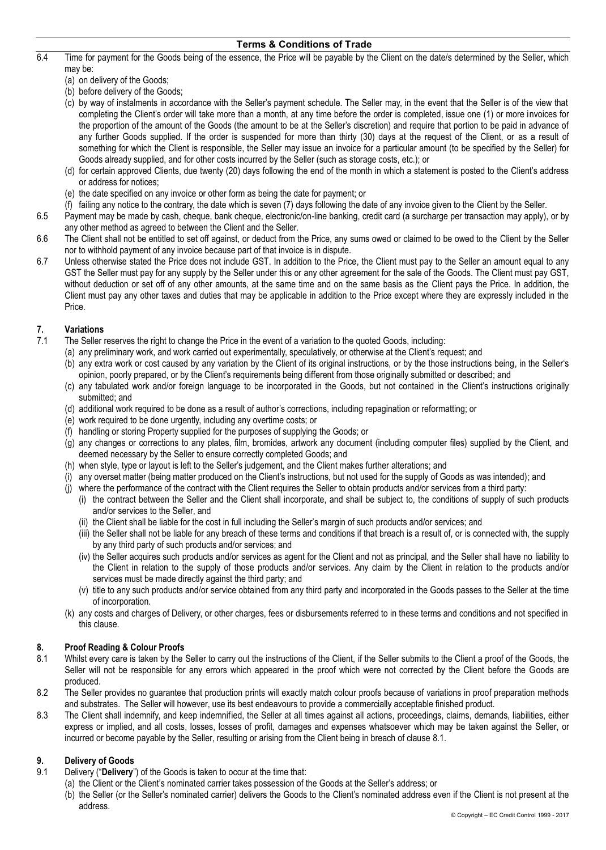- 6.4 Time for payment for the Goods being of the essence, the Price will be payable by the Client on the date/s determined by the Seller, which may be:
	- (a) on delivery of the Goods;
	- (b) before delivery of the Goods;
	- (c) by way of instalments in accordance with the Seller's payment schedule. The Seller may, in the event that the Seller is of the view that completing the Client's order will take more than a month, at any time before the order is completed, issue one (1) or more invoices for the proportion of the amount of the Goods (the amount to be at the Seller's discretion) and require that portion to be paid in advance of any further Goods supplied. If the order is suspended for more than thirty (30) days at the request of the Client, or as a result of something for which the Client is responsible, the Seller may issue an invoice for a particular amount (to be specified by the Seller) for Goods already supplied, and for other costs incurred by the Seller (such as storage costs, etc.); or
	- (d) for certain approved Clients, due twenty (20) days following the end of the month in which a statement is posted to the Client's address or address for notices;
	- (e) the date specified on any invoice or other form as being the date for payment; or
	- (f) failing any notice to the contrary, the date which is seven (7) days following the date of any invoice given to the Client by the Seller.
- 6.5 Payment may be made by cash, cheque, bank cheque, electronic/on-line banking, credit card (a surcharge per transaction may apply), or by any other method as agreed to between the Client and the Seller.
- 6.6 The Client shall not be entitled to set off against, or deduct from the Price, any sums owed or claimed to be owed to the Client by the Seller nor to withhold payment of any invoice because part of that invoice is in dispute.
- 6.7 Unless otherwise stated the Price does not include GST. In addition to the Price, the Client must pay to the Seller an amount equal to any GST the Seller must pay for any supply by the Seller under this or any other agreement for the sale of the Goods. The Client must pay GST, without deduction or set off of any other amounts, at the same time and on the same basis as the Client pays the Price. In addition, the Client must pay any other taxes and duties that may be applicable in addition to the Price except where they are expressly included in the Price.

### **7. Variations**

- 7.1 The Seller reserves the right to change the Price in the event of a variation to the quoted Goods, including:
	- (a) any preliminary work, and work carried out experimentally, speculatively, or otherwise at the Client's request; and
	- (b) any extra work or cost caused by any variation by the Client of its original instructions, or by the those instructions being, in the Seller's opinion, poorly prepared, or by the Client's requirements being different from those originally submitted or described; and
	- (c) any tabulated work and/or foreign language to be incorporated in the Goods, but not contained in the Client's instructions originally submitted; and
	- (d) additional work required to be done as a result of author's corrections, including repagination or reformatting; or
	- (e) work required to be done urgently, including any overtime costs; or
	- (f) handling or storing Property supplied for the purposes of supplying the Goods; or
	- (g) any changes or corrections to any plates, film, bromides, artwork any document (including computer files) supplied by the Client, and deemed necessary by the Seller to ensure correctly completed Goods; and
	- (h) when style, type or layout is left to the Seller's judgement, and the Client makes further alterations; and
	- (i) any overset matter (being matter produced on the Client's instructions, but not used for the supply of Goods as was intended); and
	- (j) where the performance of the contract with the Client requires the Seller to obtain products and/or services from a third party:
		- (i) the contract between the Seller and the Client shall incorporate, and shall be subject to, the conditions of supply of such products and/or services to the Seller, and
		- (ii) the Client shall be liable for the cost in full including the Seller's margin of such products and/or services; and
		- (iii) the Seller shall not be liable for any breach of these terms and conditions if that breach is a result of, or is connected with, the supply by any third party of such products and/or services; and
		- (iv) the Seller acquires such products and/or services as agent for the Client and not as principal, and the Seller shall have no liability to the Client in relation to the supply of those products and/or services. Any claim by the Client in relation to the products and/or services must be made directly against the third party; and
		- (v) title to any such products and/or service obtained from any third party and incorporated in the Goods passes to the Seller at the time of incorporation.
	- (k) any costs and charges of Delivery, or other charges, fees or disbursements referred to in these terms and conditions and not specified in this clause.

### **8. Proof Reading & Colour Proofs**

- 8.1 Whilst every care is taken by the Seller to carry out the instructions of the Client, if the Seller submits to the Client a proof of the Goods, the Seller will not be responsible for any errors which appeared in the proof which were not corrected by the Client before the Goods are produced.
- 8.2 The Seller provides no guarantee that production prints will exactly match colour proofs because of variations in proof preparation methods and substrates. The Seller will however, use its best endeavours to provide a commercially acceptable finished product.
- 8.3 The Client shall indemnify, and keep indemnified, the Seller at all times against all actions, proceedings, claims, demands, liabilities, either express or implied, and all costs, losses, losses of profit, damages and expenses whatsoever which may be taken against the Seller, or incurred or become payable by the Seller, resulting or arising from the Client being in breach of clause 8.1.

### **9. Delivery of Goods**

- 9.1 Delivery ("**Delivery**") of the Goods is taken to occur at the time that:
	- (a) the Client or the Client's nominated carrier takes possession of the Goods at the Seller's address; or
	- (b) the Seller (or the Seller's nominated carrier) delivers the Goods to the Client's nominated address even if the Client is not present at the address.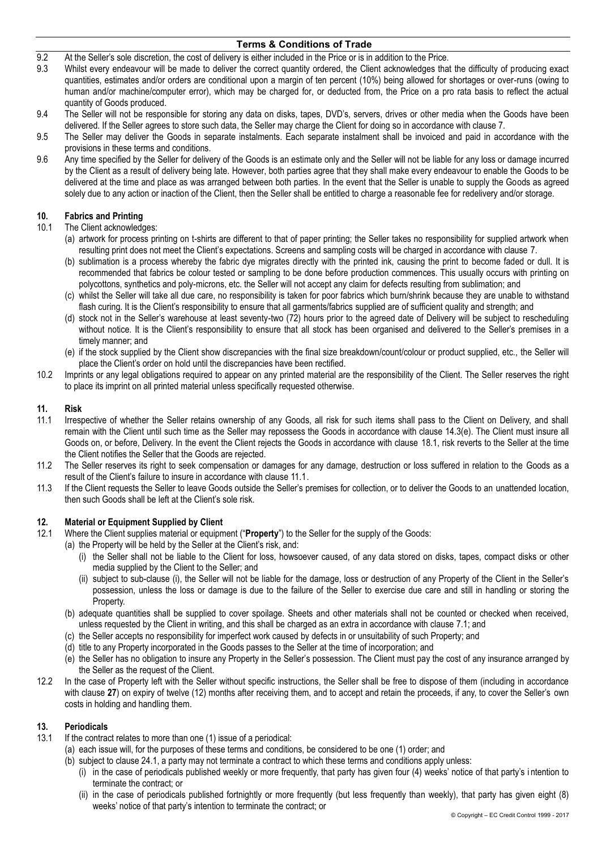- 9.2 At the Seller's sole discretion, the cost of delivery is either included in the Price or is in addition to the Price.
- 9.3 Whilst every endeavour will be made to deliver the correct quantity ordered, the Client acknowledges that the difficulty of producing exact quantities, estimates and/or orders are conditional upon a margin of ten percent (10%) being allowed for shortages or over-runs (owing to human and/or machine/computer error), which may be charged for, or deducted from, the Price on a pro rata basis to reflect the actual quantity of Goods produced.
- 9.4 The Seller will not be responsible for storing any data on disks, tapes, DVD's, servers, drives or other media when the Goods have been delivered. If the Seller agrees to store such data, the Seller may charge the Client for doing so in accordance with clause 7.
- 9.5 The Seller may deliver the Goods in separate instalments. Each separate instalment shall be invoiced and paid in accordance with the provisions in these terms and conditions.
- 9.6 Any time specified by the Seller for delivery of the Goods is an estimate only and the Seller will not be liable for any loss or damage incurred by the Client as a result of delivery being late. However, both parties agree that they shall make every endeavour to enable the Goods to be delivered at the time and place as was arranged between both parties. In the event that the Seller is unable to supply the Goods as agreed solely due to any action or inaction of the Client, then the Seller shall be entitled to charge a reasonable fee for redelivery and/or storage.

#### **10. Fabrics and Printing**

- 10.1 The Client acknowledges:
	- (a) artwork for process printing on t-shirts are different to that of paper printing; the Seller takes no responsibility for supplied artwork when resulting print does not meet the Client's expectations. Screens and sampling costs will be charged in accordance with clause 7.
	- (b) sublimation is a process whereby the fabric dye migrates directly with the printed ink, causing the print to become faded or dull. It is recommended that fabrics be colour tested or sampling to be done before production commences. This usually occurs with printing on polycottons, synthetics and poly-microns, etc. the Seller will not accept any claim for defects resulting from sublimation; and
	- (c) whilst the Seller will take all due care, no responsibility is taken for poor fabrics which burn/shrink because they are unable to withstand flash curing. It is the Client's responsibility to ensure that all garments/fabrics supplied are of sufficient quality and strength; and
	- (d) stock not in the Seller's warehouse at least seventy-two (72) hours prior to the agreed date of Delivery will be subject to rescheduling without notice. It is the Client's responsibility to ensure that all stock has been organised and delivered to the Seller's premises in a timely manner; and
	- (e) if the stock supplied by the Client show discrepancies with the final size breakdown/count/colour or product supplied, etc., the Seller will place the Client's order on hold until the discrepancies have been rectified.
- 10.2 Imprints or any legal obligations required to appear on any printed material are the responsibility of the Client. The Seller reserves the right to place its imprint on all printed material unless specifically requested otherwise.

#### **11. Risk**

- 11.1 Irrespective of whether the Seller retains ownership of any Goods, all risk for such items shall pass to the Client on Delivery, and shall remain with the Client until such time as the Seller may repossess the Goods in accordance with clause 14.3(e). The Client must insure all Goods on, or before, Delivery. In the event the Client rejects the Goods in accordance with clause 18.1, risk reverts to the Seller at the time the Client notifies the Seller that the Goods are rejected.
- 11.2 The Seller reserves its right to seek compensation or damages for any damage, destruction or loss suffered in relation to the Goods as a result of the Client's failure to insure in accordance with clause 11.1.
- 11.3 If the Client requests the Seller to leave Goods outside the Seller's premises for collection, or to deliver the Goods to an unattended location, then such Goods shall be left at the Client's sole risk.

#### **12. Material or Equipment Supplied by Client**

- 12.1 Where the Client supplies material or equipment ("**Property**") to the Seller for the supply of the Goods:
	- (a) the Property will be held by the Seller at the Client's risk, and:
		- (i) the Seller shall not be liable to the Client for loss, howsoever caused, of any data stored on disks, tapes, compact disks or other media supplied by the Client to the Seller; and
		- (ii) subject to sub-clause (i), the Seller will not be liable for the damage, loss or destruction of any Property of the Client in the Seller's possession, unless the loss or damage is due to the failure of the Seller to exercise due care and still in handling or storing the Property.
	- (b) adequate quantities shall be supplied to cover spoilage. Sheets and other materials shall not be counted or checked when received, unless requested by the Client in writing, and this shall be charged as an extra in accordance with clause 7.1; and
	- (c) the Seller accepts no responsibility for imperfect work caused by defects in or unsuitability of such Property; and
	- (d) title to any Property incorporated in the Goods passes to the Seller at the time of incorporation; and
	- (e) the Seller has no obligation to insure any Property in the Seller's possession. The Client must pay the cost of any insurance arranged by the Seller as the request of the Client.
- 12.2 In the case of Property left with the Seller without specific instructions, the Seller shall be free to dispose of them (including in accordance with clause 27) on expiry of twelve (12) months after receiving them, and to accept and retain the proceeds, if any, to cover the Seller's own costs in holding and handling them.

## **13. Periodicals**

- If the contract relates to more than one (1) issue of a periodical:
	- (a) each issue will, for the purposes of these terms and conditions, be considered to be one (1) order; and
	- (b) subject to clause 24.1, a party may not terminate a contract to which these terms and conditions apply unless:
		- (i) in the case of periodicals published weekly or more frequently, that party has given four (4) weeks' notice of that party's i ntention to terminate the contract; or
		- (ii) in the case of periodicals published fortnightly or more frequently (but less frequently than weekly), that party has given eight (8) weeks' notice of that party's intention to terminate the contract; or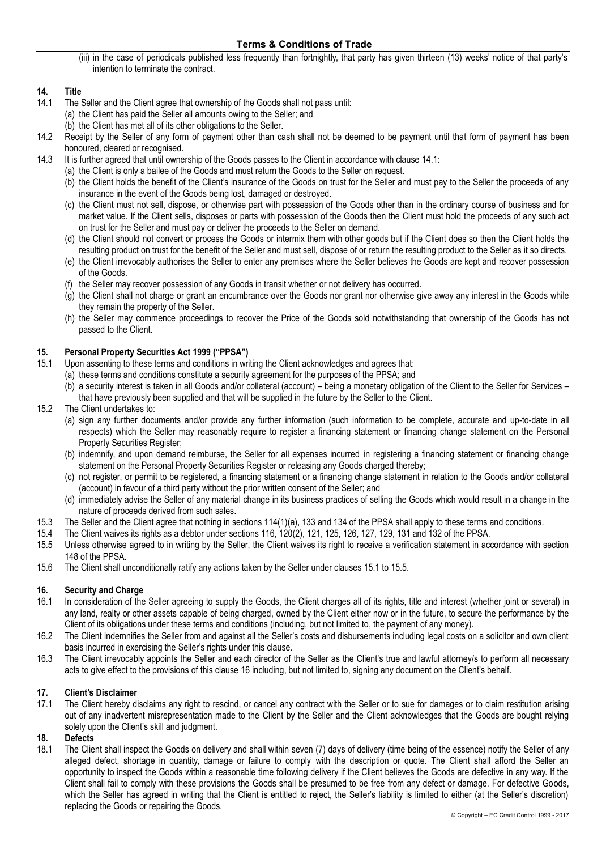(iii) in the case of periodicals published less frequently than fortnightly, that party has given thirteen (13) weeks' notice of that party's intention to terminate the contract.

### **14. Title**

- 14.1 The Seller and the Client agree that ownership of the Goods shall not pass until: (a) the Client has paid the Seller all amounts owing to the Seller; and
	- (b) the Client has met all of its other obligations to the Seller.
- 14.2 Receipt by the Seller of any form of payment other than cash shall not be deemed to be payment until that form of payment has been honoured, cleared or recognised.
- 14.3 It is further agreed that until ownership of the Goods passes to the Client in accordance with clause 14.1:
	- (a) the Client is only a bailee of the Goods and must return the Goods to the Seller on request.
		- (b) the Client holds the benefit of the Client's insurance of the Goods on trust for the Seller and must pay to the Seller the proceeds of any insurance in the event of the Goods being lost, damaged or destroyed.
		- (c) the Client must not sell, dispose, or otherwise part with possession of the Goods other than in the ordinary course of business and for market value. If the Client sells, disposes or parts with possession of the Goods then the Client must hold the proceeds of any such act on trust for the Seller and must pay or deliver the proceeds to the Seller on demand.
		- (d) the Client should not convert or process the Goods or intermix them with other goods but if the Client does so then the Client holds the resulting product on trust for the benefit of the Seller and must sell, dispose of or return the resulting product to the Seller as it so directs.
		- (e) the Client irrevocably authorises the Seller to enter any premises where the Seller believes the Goods are kept and recover possession of the Goods.
		- (f) the Seller may recover possession of any Goods in transit whether or not delivery has occurred.
		- (g) the Client shall not charge or grant an encumbrance over the Goods nor grant nor otherwise give away any interest in the Goods while they remain the property of the Seller.
		- (h) the Seller may commence proceedings to recover the Price of the Goods sold notwithstanding that ownership of the Goods has not passed to the Client.

#### **15. Personal Property Securities Act 1999 ("PPSA")**

- 15.1 Upon assenting to these terms and conditions in writing the Client acknowledges and agrees that:
	- (a) these terms and conditions constitute a security agreement for the purposes of the PPSA; and
	- (b) a security interest is taken in all Goods and/or collateral (account) being a monetary obligation of the Client to the Seller for Services that have previously been supplied and that will be supplied in the future by the Seller to the Client.
- 15.2 The Client undertakes to:
	- (a) sign any further documents and/or provide any further information (such information to be complete, accurate and up-to-date in all respects) which the Seller may reasonably require to register a financing statement or financing change statement on the Personal Property Securities Register;
	- (b) indemnify, and upon demand reimburse, the Seller for all expenses incurred in registering a financing statement or financing change statement on the Personal Property Securities Register or releasing any Goods charged thereby;
	- (c) not register, or permit to be registered, a financing statement or a financing change statement in relation to the Goods and/or collateral (account) in favour of a third party without the prior written consent of the Seller; and
	- (d) immediately advise the Seller of any material change in its business practices of selling the Goods which would result in a change in the nature of proceeds derived from such sales.
- 15.3 The Seller and the Client agree that nothing in sections 114(1)(a), 133 and 134 of the PPSA shall apply to these terms and conditions.
- 15.4 The Client waives its rights as a debtor under sections 116, 120(2), 121, 125, 126, 127, 129, 131 and 132 of the PPSA.
- 15.5 Unless otherwise agreed to in writing by the Seller, the Client waives its right to receive a verification statement in accordance with section 148 of the PPSA.
- 15.6 The Client shall unconditionally ratify any actions taken by the Seller under clauses 15.1 to 15.5.

### **16. Security and Charge**

- 16.1 In consideration of the Seller agreeing to supply the Goods, the Client charges all of its rights, title and interest (whether joint or several) in any land, realty or other assets capable of being charged, owned by the Client either now or in the future, to secure the performance by the Client of its obligations under these terms and conditions (including, but not limited to, the payment of any money).
- 16.2 The Client indemnifies the Seller from and against all the Seller's costs and disbursements including legal costs on a solicitor and own client basis incurred in exercising the Seller's rights under this clause.
- 16.3 The Client irrevocably appoints the Seller and each director of the Seller as the Client's true and lawful attorney/s to perform all necessary acts to give effect to the provisions of this clause 16 including, but not limited to, signing any document on the Client's behalf.

## **17. Client's Disclaimer**

The Client hereby disclaims any right to rescind, or cancel any contract with the Seller or to sue for damages or to claim restitution arising out of any inadvertent misrepresentation made to the Client by the Seller and the Client acknowledges that the Goods are bought relying solely upon the Client's skill and judgment.

### **18. Defects**

18.1 The Client shall inspect the Goods on delivery and shall within seven (7) days of delivery (time being of the essence) notify the Seller of any alleged defect, shortage in quantity, damage or failure to comply with the description or quote. The Client shall afford the Seller an opportunity to inspect the Goods within a reasonable time following delivery if the Client believes the Goods are defective in any way. If the Client shall fail to comply with these provisions the Goods shall be presumed to be free from any defect or damage. For defective Goods, which the Seller has agreed in writing that the Client is entitled to reject, the Seller's liability is limited to either (at the Seller's discretion) replacing the Goods or repairing the Goods.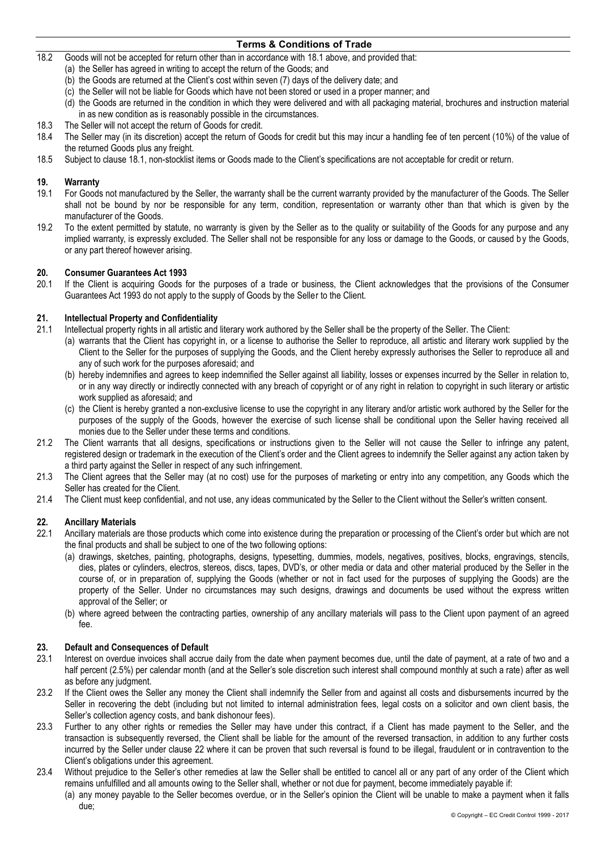18.2 Goods will not be accepted for return other than in accordance with 18.1 above, and provided that:

- (a) the Seller has agreed in writing to accept the return of the Goods; and
- (b) the Goods are returned at the Client's cost within seven (7) days of the delivery date; and
- (c) the Seller will not be liable for Goods which have not been stored or used in a proper manner; and
- (d) the Goods are returned in the condition in which they were delivered and with all packaging material, brochures and instruction material in as new condition as is reasonably possible in the circumstances.
- 18.3 The Seller will not accept the return of Goods for credit.
- 18.4 The Seller may (in its discretion) accept the return of Goods for credit but this may incur a handling fee of ten percent (10%) of the value of the returned Goods plus any freight.
- 18.5 Subject to clause 18.1, non-stocklist items or Goods made to the Client's specifications are not acceptable for credit or return.

#### **19. Warranty**

- 19.1 For Goods not manufactured by the Seller, the warranty shall be the current warranty provided by the manufacturer of the Goods. The Seller shall not be bound by nor be responsible for any term, condition, representation or warranty other than that which is given by the manufacturer of the Goods.
- 19.2 To the extent permitted by statute, no warranty is given by the Seller as to the quality or suitability of the Goods for any purpose and any implied warranty, is expressly excluded. The Seller shall not be responsible for any loss or damage to the Goods, or caused by the Goods, or any part thereof however arising.

#### **20. Consumer Guarantees Act 1993**

20.1 If the Client is acquiring Goods for the purposes of a trade or business, the Client acknowledges that the provisions of the Consumer Guarantees Act 1993 do not apply to the supply of Goods by the Seller to the Client.

## **21. Intellectual Property and Confidentiality**

- 21.1 Intellectual property rights in all artistic and literary work authored by the Seller shall be the property of the Seller. The Client:
	- (a) warrants that the Client has copyright in, or a license to authorise the Seller to reproduce, all artistic and literary work supplied by the Client to the Seller for the purposes of supplying the Goods, and the Client hereby expressly authorises the Seller to reproduce all and any of such work for the purposes aforesaid; and
	- (b) hereby indemnifies and agrees to keep indemnified the Seller against all liability, losses or expenses incurred by the Seller in relation to, or in any way directly or indirectly connected with any breach of copyright or of any right in relation to copyright in such literary or artistic work supplied as aforesaid; and
	- (c) the Client is hereby granted a non-exclusive license to use the copyright in any literary and/or artistic work authored by the Seller for the purposes of the supply of the Goods, however the exercise of such license shall be conditional upon the Seller having received all monies due to the Seller under these terms and conditions.
- 21.2 The Client warrants that all designs, specifications or instructions given to the Seller will not cause the Seller to infringe any patent, registered design or trademark in the execution of the Client's order and the Client agrees to indemnify the Seller against any action taken by a third party against the Seller in respect of any such infringement.
- 21.3 The Client agrees that the Seller may (at no cost) use for the purposes of marketing or entry into any competition, any Goods which the Seller has created for the Client.
- 21.4 The Client must keep confidential, and not use, any ideas communicated by the Seller to the Client without the Seller's written consent.

#### **22. Ancillary Materials**

- 22.1 Ancillary materials are those products which come into existence during the preparation or processing of the Client's order but which are not the final products and shall be subject to one of the two following options:
	- (a) drawings, sketches, painting, photographs, designs, typesetting, dummies, models, negatives, positives, blocks, engravings, stencils, dies, plates or cylinders, electros, stereos, discs, tapes, DVD's, or other media or data and other material produced by the Seller in the course of, or in preparation of, supplying the Goods (whether or not in fact used for the purposes of supplying the Goods) are the property of the Seller. Under no circumstances may such designs, drawings and documents be used without the express written approval of the Seller; or
	- (b) where agreed between the contracting parties, ownership of any ancillary materials will pass to the Client upon payment of an agreed fee.

#### **23. Default and Consequences of Default**

- 23.1 Interest on overdue invoices shall accrue daily from the date when payment becomes due, until the date of payment, at a rate of two and a half percent (2.5%) per calendar month (and at the Seller's sole discretion such interest shall compound monthly at such a rate) after as well as before any judgment.
- 23.2 If the Client owes the Seller any money the Client shall indemnify the Seller from and against all costs and disbursements incurred by the Seller in recovering the debt (including but not limited to internal administration fees, legal costs on a solicitor and own client basis, the Seller's collection agency costs, and bank dishonour fees).
- 23.3 Further to any other rights or remedies the Seller may have under this contract, if a Client has made payment to the Seller, and the transaction is subsequently reversed, the Client shall be liable for the amount of the reversed transaction, in addition to any further costs incurred by the Seller under clause 22 where it can be proven that such reversal is found to be illegal, fraudulent or in contravention to the Client's obligations under this agreement.
- 23.4 Without prejudice to the Seller's other remedies at law the Seller shall be entitled to cancel all or any part of any order of the Client which remains unfulfilled and all amounts owing to the Seller shall, whether or not due for payment, become immediately payable if:
	- (a) any money payable to the Seller becomes overdue, or in the Seller's opinion the Client will be unable to make a payment when it falls due;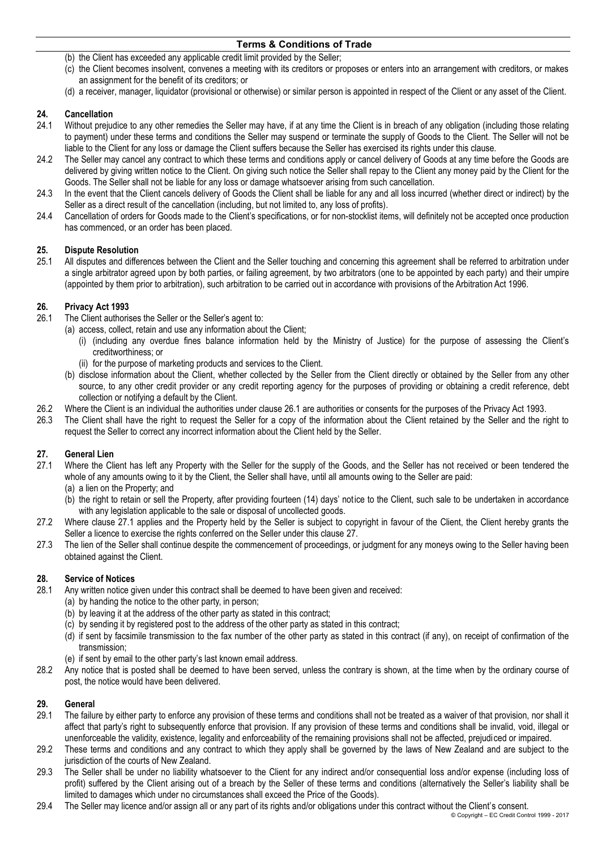- (b) the Client has exceeded any applicable credit limit provided by the Seller;
- (c) the Client becomes insolvent, convenes a meeting with its creditors or proposes or enters into an arrangement with creditors, or makes an assignment for the benefit of its creditors; or
- (d) a receiver, manager, liquidator (provisional or otherwise) or similar person is appointed in respect of the Client or any asset of the Client.

### **24. Cancellation**

- 24.1 Without prejudice to any other remedies the Seller may have, if at any time the Client is in breach of any obligation (including those relating to payment) under these terms and conditions the Seller may suspend or terminate the supply of Goods to the Client. The Seller will not be liable to the Client for any loss or damage the Client suffers because the Seller has exercised its rights under this clause.
- 24.2 The Seller may cancel any contract to which these terms and conditions apply or cancel delivery of Goods at any time before the Goods are delivered by giving written notice to the Client. On giving such notice the Seller shall repay to the Client any money paid by the Client for the Goods. The Seller shall not be liable for any loss or damage whatsoever arising from such cancellation.
- 24.3 In the event that the Client cancels delivery of Goods the Client shall be liable for any and all loss incurred (whether direct or indirect) by the Seller as a direct result of the cancellation (including, but not limited to, any loss of profits).
- 24.4 Cancellation of orders for Goods made to the Client's specifications, or for non-stocklist items, will definitely not be accepted once production has commenced, or an order has been placed.

## **25. Dispute Resolution**

25.1 All disputes and differences between the Client and the Seller touching and concerning this agreement shall be referred to arbitration under a single arbitrator agreed upon by both parties, or failing agreement, by two arbitrators (one to be appointed by each party) and their umpire (appointed by them prior to arbitration), such arbitration to be carried out in accordance with provisions of the Arbitration Act 1996.

### **26. Privacy Act 1993**

- 26.1 The Client authorises the Seller or the Seller's agent to:
	- (a) access, collect, retain and use any information about the Client;
		- (i) (including any overdue fines balance information held by the Ministry of Justice) for the purpose of assessing the Client's creditworthiness; or
		- (ii) for the purpose of marketing products and services to the Client.
	- (b) disclose information about the Client, whether collected by the Seller from the Client directly or obtained by the Seller from any other source, to any other credit provider or any credit reporting agency for the purposes of providing or obtaining a credit reference, debt collection or notifying a default by the Client.
- 26.2 Where the Client is an individual the authorities under clause 26.1 are authorities or consents for the purposes of the Privacy Act 1993.
- 26.3 The Client shall have the right to request the Seller for a copy of the information about the Client retained by the Seller and the right to request the Seller to correct any incorrect information about the Client held by the Seller.

## **27. General Lien**

- 27.1 Where the Client has left any Property with the Seller for the supply of the Goods, and the Seller has not received or been tendered the whole of any amounts owing to it by the Client, the Seller shall have, until all amounts owing to the Seller are paid:
	- (a) a lien on the Property; and
	- (b) the right to retain or sell the Property, after providing fourteen (14) days' notice to the Client, such sale to be undertaken in accordance with any legislation applicable to the sale or disposal of uncollected goods.
- 27.2 Where clause 27.1 applies and the Property held by the Seller is subject to copyright in favour of the Client, the Client hereby grants the Seller a licence to exercise the rights conferred on the Seller under this clause 27.
- 27.3 The lien of the Seller shall continue despite the commencement of proceedings, or judgment for any moneys owing to the Seller having been obtained against the Client.

## **28. Service of Notices**

- Any written notice given under this contract shall be deemed to have been given and received:
	- (a) by handing the notice to the other party, in person;
	- (b) by leaving it at the address of the other party as stated in this contract;
	- (c) by sending it by registered post to the address of the other party as stated in this contract;
	- (d) if sent by facsimile transmission to the fax number of the other party as stated in this contract (if any), on receipt of confirmation of the transmission;
	- (e) if sent by email to the other party's last known email address.
- 28.2 Any notice that is posted shall be deemed to have been served, unless the contrary is shown, at the time when by the ordinary course of post, the notice would have been delivered.

### **29. General**

- 29.1 The failure by either party to enforce any provision of these terms and conditions shall not be treated as a waiver of that provision, nor shall it affect that party's right to subsequently enforce that provision. If any provision of these terms and conditions shall be invalid, void, illegal or unenforceable the validity, existence, legality and enforceability of the remaining provisions shall not be affected, prejudiced or impaired.
- 29.2 These terms and conditions and any contract to which they apply shall be governed by the laws of New Zealand and are subject to the jurisdiction of the courts of New Zealand.
- 29.3 The Seller shall be under no liability whatsoever to the Client for any indirect and/or consequential loss and/or expense (including loss of profit) suffered by the Client arising out of a breach by the Seller of these terms and conditions (alternatively the Seller's liability shall be limited to damages which under no circumstances shall exceed the Price of the Goods).
- 29.4 The Seller may licence and/or assign all or any part of its rights and/or obligations under this contract without the Client's consent.